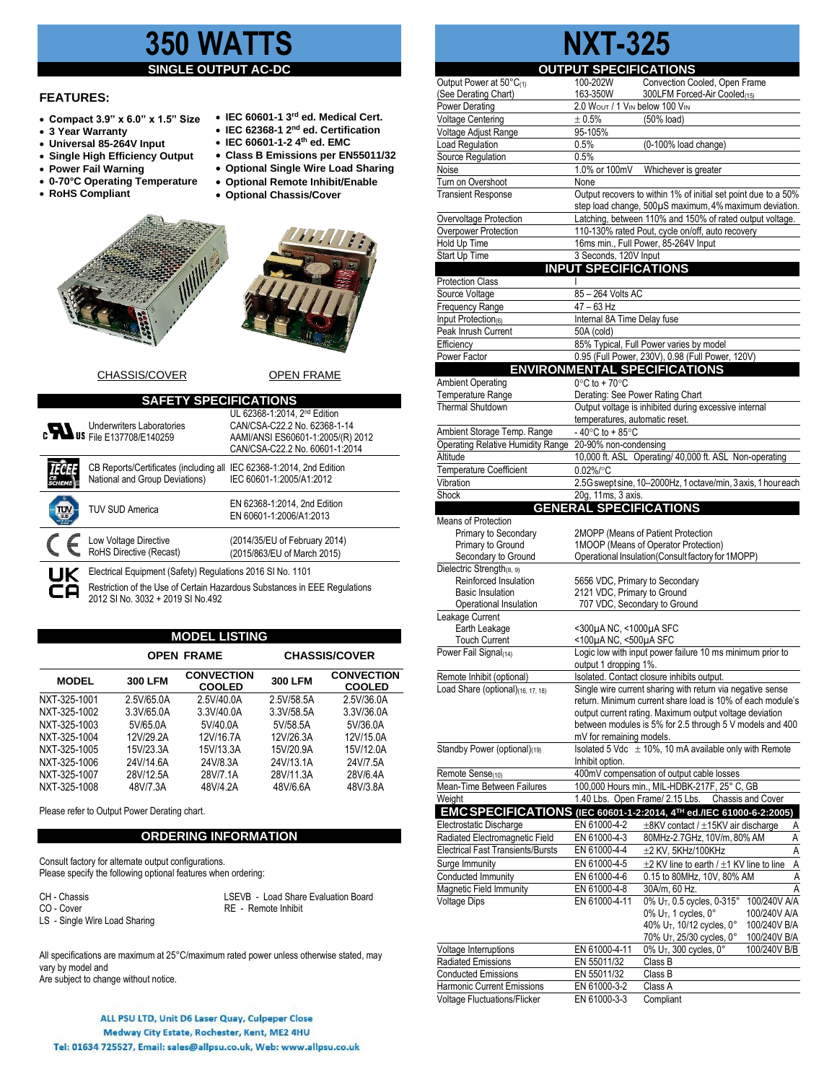# **350 WATTS**

### **SINGLE OUTPUT**

## **FEATURES:**

- **Compact 3.9" x 6.0" x 1.5" Size**
- **3 Year Warranty**
- **Universal 85-264V Input**
- **Single High Efficiency Output**
- **Power Fail Warning**
- **0-70°C Operating Temperature**
- **RoHS Compliant**
- **IEC 60601-1-2 4th ed. EMC** • **Class B Emissions per EN55011/32**
- **Optional Single Wire Load Sharing**

• **IEC 60601-1 3 rd ed. Medical Cert.** • **IEC 62368-1 2 nd ed. Certification**

- **Optional Remote Inhibit/Enable**
- **Optional Chassis/Cover**





# CHASSIS/COVER OPEN FRAME

| <b>SAFETY SPECIFICATIONS</b> |                                                                                              |                                                                                                                                                 |  |  |  |  |
|------------------------------|----------------------------------------------------------------------------------------------|-------------------------------------------------------------------------------------------------------------------------------------------------|--|--|--|--|
|                              | <b>Underwriters Laboratories</b><br><b>c</b> US File E137708/E140259                         | UL 62368-1:2014. 2 <sup>nd</sup> Edition<br>CAN/CSA-C22.2 No. 62368-1-14<br>AAMI/ANSI ES60601-1:2005/(R) 2012<br>CAN/CSA-C22.2 No. 60601-1:2014 |  |  |  |  |
|                              | CB Reports/Certificates (including all<br>National and Group Deviations)                     | IEC 62368-1:2014, 2nd Edition<br>IEC 60601-1:2005/A1:2012                                                                                       |  |  |  |  |
|                              | <b>TUV SUD America</b>                                                                       | EN 62368-1:2014, 2nd Edition<br>EN 60601-1:2006/A1:2013                                                                                         |  |  |  |  |
|                              | Low Voltage Directive<br>RoHS Directive (Recast)                                             | (2014/35/EU of February 2014)<br>(2015/863/EU of March 2015)                                                                                    |  |  |  |  |
| UK<br>CΑ                     | Electrical Equipment (Safety) Regulations 2016 SI No. 1101<br>2012 SLNo 3032 + 2019 SLNo 492 | Restriction of the Use of Certain Hazardous Substances in EEE Regulations                                                                       |  |  |  |  |

**MODEL LISTING**

|              | <b>OPEN FRAME</b> |                                    | <b>CHASSIS/COVER</b> |                                    |
|--------------|-------------------|------------------------------------|----------------------|------------------------------------|
| <b>MODEL</b> | <b>300 LFM</b>    | <b>CONVECTION</b><br><b>COOLED</b> | <b>300 LFM</b>       | <b>CONVECTION</b><br><b>COOLED</b> |
| NXT-325-1001 | 2.5V/65.0A        | 2.5V/40.0A                         | 2.5V/58.5A           | 2.5V/36.0A                         |
| NXT-325-1002 | 3.3V/65.0A        | 3.3V/40.0A                         | 3.3V/58.5A           | 3.3V/36.0A                         |
| NXT-325-1003 | 5V/65.0A          | 5V/40.0A                           | 5V/58.5A             | 5V/36.0A                           |
| NXT-325-1004 | 12V/29.2A         | 12V/16.7A                          | 12V/26.3A            | 12V/15.0A                          |
| NXT-325-1005 | 15V/23.3A         | 15V/13.3A                          | 15V/20.9A            | 15V/12.0A                          |
| NXT-325-1006 | 24V/14.6A         | 24V/8.3A                           | 24V/13.1A            | 24V/7.5A                           |
| NXT-325-1007 | 28V/12.5A         | 28V/7.1A                           | 28V/11.3A            | 28V/6.4A                           |
| NXT-325-1008 | 48V/7.3A          | 48V/4.2A                           | 48V/6.6A             | 48V/3.8A                           |

Please refer to Output Power Derating chart.

#### **ORDERING INFORMATION**

Consult factory for alternate output configurations. Please specify the following optional features when ordering:

LS - Single Wire Load Sharing

CH - Chassis **CH** - Cover **CH** - Cover **CO** - Cover **CO** - Cover **CO** - Cover **CO** - Cover **CO** - Cover **CO** - Cover **CO** - Cover **CO** - Cover **CO** - Cover **CO** - Cover **CO** - COVER **CO** - COVER **CO** - COVER **CO** - COVER RE - Remote Inhibit

All specifications are maximum at 25°C/maximum rated power unless otherwise stated, may vary by model and Are subject to change without notice.

# **NXT-325**

|                                                          | <b>OUTPUT SPECIFICATIONS</b>                         |                                                                                                           |
|----------------------------------------------------------|------------------------------------------------------|-----------------------------------------------------------------------------------------------------------|
| Output Power at 50°C(1)                                  | 100-202W                                             | Convection Cooled, Open Frame                                                                             |
| (See Derating Chart)                                     | 163-350W                                             | 300LFM Forced-Air Cooled(15)                                                                              |
| Power Derating                                           | 2.0 WOUT / 1 VIN below 100 VIN                       |                                                                                                           |
| <b>Voltage Centering</b>                                 | $\pm 0.5\%$                                          | (50% load)                                                                                                |
| Voltage Adjust Range<br>Load Regulation                  | 95-105%<br>0.5%                                      | (0-100% load change)                                                                                      |
| Source Regulation                                        | 0.5%                                                 |                                                                                                           |
| Noise                                                    | 1.0% or 100mV                                        | Whichever is greater                                                                                      |
| Turn on Overshoot                                        | None                                                 |                                                                                                           |
| <b>Transient Response</b>                                |                                                      | Output recovers to within 1% of initial set point due to a 50%                                            |
|                                                          |                                                      | step load change, 500µS maximum, 4% maximum deviation.                                                    |
| Overvoltage Protection                                   |                                                      | Latching, between 110% and 150% of rated output voltage.                                                  |
| Overpower Protection                                     |                                                      | 110-130% rated Pout, cycle on/off, auto recovery                                                          |
| Hold Up Time                                             |                                                      | 16ms min., Full Power, 85-264V Input                                                                      |
| Start Up Time                                            | 3 Seconds, 120V Input                                |                                                                                                           |
|                                                          | <b>INPUT SPECIFICATIONS</b>                          |                                                                                                           |
| <b>Protection Class</b>                                  |                                                      |                                                                                                           |
| Source Voltage                                           | 85 - 264 Volts AC<br>$47 - 63$ Hz                    |                                                                                                           |
| Frequency Range<br>Input Protection(6)                   | Internal 8A Time Delay fuse                          |                                                                                                           |
| Peak Inrush Current                                      | 50A (cold)                                           |                                                                                                           |
| Efficiency                                               |                                                      | 85% Typical, Full Power varies by model                                                                   |
| Power Factor                                             |                                                      | 0.95 (Full Power, 230V), 0.98 (Full Power, 120V)                                                          |
|                                                          |                                                      | <b>ENVIRONMENTAL SPECIFICATIONS</b>                                                                       |
| <b>Ambient Operating</b>                                 | $0^{\circ}$ C to + 70 $^{\circ}$ C                   |                                                                                                           |
| Temperature Range                                        | Derating: See Power Rating Chart                     |                                                                                                           |
| <b>Thermal Shutdown</b>                                  |                                                      | Output voltage is inhibited during excessive internal                                                     |
|                                                          | temperatures, automatic reset.                       |                                                                                                           |
| Ambient Storage Temp. Range                              | -40 $\mathrm{^{\circ}C}$ to +85 $\mathrm{^{\circ}C}$ |                                                                                                           |
| Operating Relative Humidity Range                        | 20-90% non-condensing                                |                                                                                                           |
| Altitude                                                 |                                                      | 10,000 ft. ASL Operating/ 40,000 ft. ASL Non-operating                                                    |
| <b>Temperature Coefficient</b>                           | $0.02\%$ /°C                                         |                                                                                                           |
| Vibration                                                |                                                      | 2.5G swept sine, 10-2000Hz, 1 octave/min, 3 axis, 1 hour each                                             |
| Shock                                                    | 20g, 11ms, 3 axis.                                   |                                                                                                           |
|                                                          | <b>GENERAL SPECIFICATIONS</b>                        |                                                                                                           |
| Means of Protection<br>Primary to Secondary              |                                                      | 2MOPP (Means of Patient Protection                                                                        |
| Primary to Ground                                        |                                                      | 1MOOP (Means of Operator Protection)                                                                      |
| Secondary to Ground                                      |                                                      | Operational Insulation (Consult factory for 1MOPP)                                                        |
| Dielectric Strength(8, 9)                                |                                                      |                                                                                                           |
| Reinforced Insulation                                    | 5656 VDC, Primary to Secondary                       |                                                                                                           |
|                                                          |                                                      |                                                                                                           |
| <b>Basic Insulation</b>                                  | 2121 VDC, Primary to Ground                          |                                                                                                           |
| Operational Insulation                                   | 707 VDC, Secondary to Ground                         |                                                                                                           |
| Leakage Current                                          |                                                      |                                                                                                           |
| Earth Leakage                                            | <300µA NC, <1000µA SFC                               |                                                                                                           |
| <b>Touch Current</b>                                     | <100µA NC, <500µA SFC                                |                                                                                                           |
| Power Fail Signal <sub>(14)</sub>                        |                                                      | Logic low with input power failure 10 ms minimum prior to                                                 |
|                                                          | output 1 dropping 1%.                                |                                                                                                           |
| Remote Inhibit (optional)                                |                                                      | Isolated. Contact closure inhibits output.<br>Single wire current sharing with return via negative sense  |
| Load Share (optional)(16, 17, 18)                        |                                                      | return. Minimum current share load is 10% of each module's                                                |
|                                                          |                                                      | output current rating. Maximum output voltage deviation                                                   |
|                                                          |                                                      | between modules is 5% for 2.5 through 5 V models and 400                                                  |
|                                                          | mV for remaining models.                             |                                                                                                           |
| Standby Power (optional)(19)                             |                                                      | Isolated 5 Vdc $\pm$ 10%, 10 mA available only with Remote                                                |
|                                                          | Inhibit option.                                      |                                                                                                           |
| Remote Sense <sub>(10)</sub>                             |                                                      | 400mV compensation of output cable losses                                                                 |
| Mean-Time Between Failures                               |                                                      | 100,000 Hours min., MIL-HDBK-217F, 25° C, GB                                                              |
| Weight                                                   | 1.40 Lbs. Open Frame/ 2.15 Lbs.                      | <b>Chassis and Cover</b>                                                                                  |
| Electrostatic Discharge                                  | EN 61000-4-2                                         | EMC SPECIFICATIONS (IEC 60601-1-2:2014, 4TH ed./IEC 61000-6-2:2005)<br>±8KV contact / ±15KV air discharge |
| Radiated Electromagnetic Field                           | EN 61000-4-3                                         | A                                                                                                         |
| <b>Electrical Fast Transients/Bursts</b>                 | EN 61000-4-4                                         | 80MHz-2.7GHz, 10V/m, 80% AM<br>$\overline{A}$<br>A<br>$\pm$ 2 KV, 5KHz/100KHz                             |
| Surge Immunity                                           | EN 61000-4-5                                         | $\overline{A}$<br>$\pm 2$ KV line to earth / $\pm 1$ KV line to line                                      |
| Conducted Immunity                                       | EN 61000-4-6                                         | 0.15 to 80MHz, 10V, 80% AM<br>Α                                                                           |
| Magnetic Field Immunity                                  | EN 61000-4-8                                         | 30A/m, 60 Hz.<br>Α                                                                                        |
| <b>Voltage Dips</b>                                      | EN 61000-4-11                                        | 0% UT, 0.5 cycles, 0-315°<br>100/240V A/A                                                                 |
|                                                          |                                                      | $0\%$ U <sub>T</sub> , 1 cycles, $0^{\circ}$<br>100/240V A/A                                              |
|                                                          |                                                      | 40% U <sub>T</sub> , 10/12 cycles, 0°<br>100/240V B/A                                                     |
|                                                          |                                                      | 70% U <sub>T</sub> , 25/30 cycles, 0°<br>100/240V B/A                                                     |
| Voltage Interruptions                                    | EN 61000-4-11                                        | 0% $U_T$ , 300 cycles, 0°<br>100/240V B/B                                                                 |
| Radiated Emissions                                       | EN 55011/32                                          | Class B                                                                                                   |
| <b>Conducted Emissions</b><br>Harmonic Current Emissions | EN 55011/32<br>EN 61000-3-2                          | Class B<br>Class A                                                                                        |